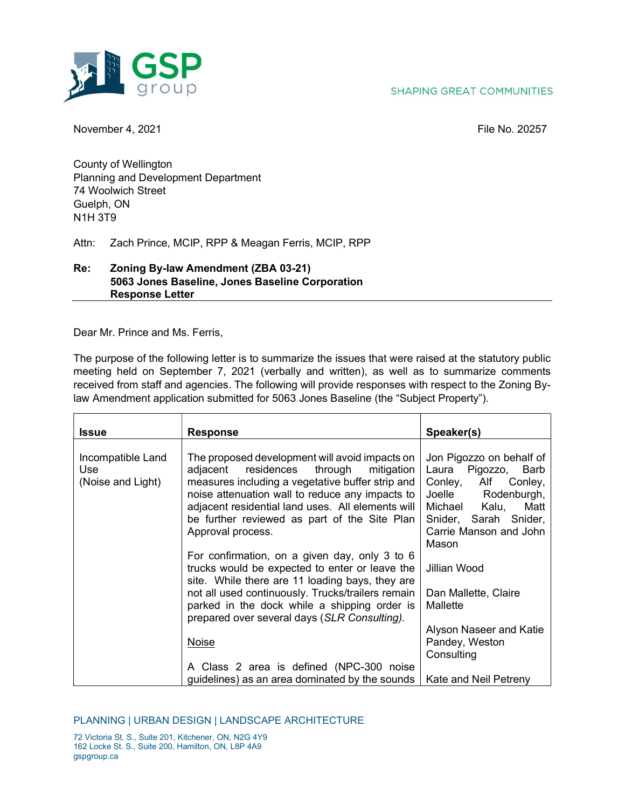



November 4, 2021 **File No. 20257** 

County of Wellington Planning and Development Department 74 Woolwich Street Guelph, ON N1H 3T9

Attn: Zach Prince, MCIP, RPP & Meagan Ferris, MCIP, RPP

## Re: Zoning By-law Amendment (ZBA 03-21) 5063 Jones Baseline, Jones Baseline Corporation Response Letter

Dear Mr. Prince and Ms. Ferris,

The purpose of the following letter is to summarize the issues that were raised at the statutory public meeting held on September 7, 2021 (verbally and written), as well as to summarize comments received from staff and agencies. The following will provide responses with respect to the Zoning Bylaw Amendment application submitted for 5063 Jones Baseline (the "Subject Property").

| <b>Response</b>                                                                                                                                                                                                                                                                                                                    | Speaker(s)                                                                                                                                                                              |
|------------------------------------------------------------------------------------------------------------------------------------------------------------------------------------------------------------------------------------------------------------------------------------------------------------------------------------|-----------------------------------------------------------------------------------------------------------------------------------------------------------------------------------------|
| The proposed development will avoid impacts on<br>residences<br>through<br>mitigation<br>adjacent<br>measures including a vegetative buffer strip and<br>noise attenuation wall to reduce any impacts to<br>adjacent residential land uses. All elements will<br>be further reviewed as part of the Site Plan<br>Approval process. | Jon Pigozzo on behalf of<br>Pigozzo, Barb<br>Laura<br>Conley, Alf Conley,<br>Joelle<br>Rodenburgh,<br>Matt<br>Michael Kalu,<br>Snider, Sarah Snider,<br>Carrie Manson and John<br>Mason |
| For confirmation, on a given day, only 3 to 6<br>trucks would be expected to enter or leave the<br>site. While there are 11 loading bays, they are<br>not all used continuously. Trucks/trailers remain<br>parked in the dock while a shipping order is<br>prepared over several days (SLR Consulting).                            | Jillian Wood<br>Dan Mallette, Claire<br>Mallette                                                                                                                                        |
| Noise<br>A Class 2 area is defined (NPC-300 noise                                                                                                                                                                                                                                                                                  | Alyson Naseer and Katie<br>Pandey, Weston<br>Consulting<br>Kate and Neil Petreny                                                                                                        |
|                                                                                                                                                                                                                                                                                                                                    | guidelines) as an area dominated by the sounds                                                                                                                                          |

## PLANNING | URBAN DESIGN | LANDSCAPE ARCHITECTURE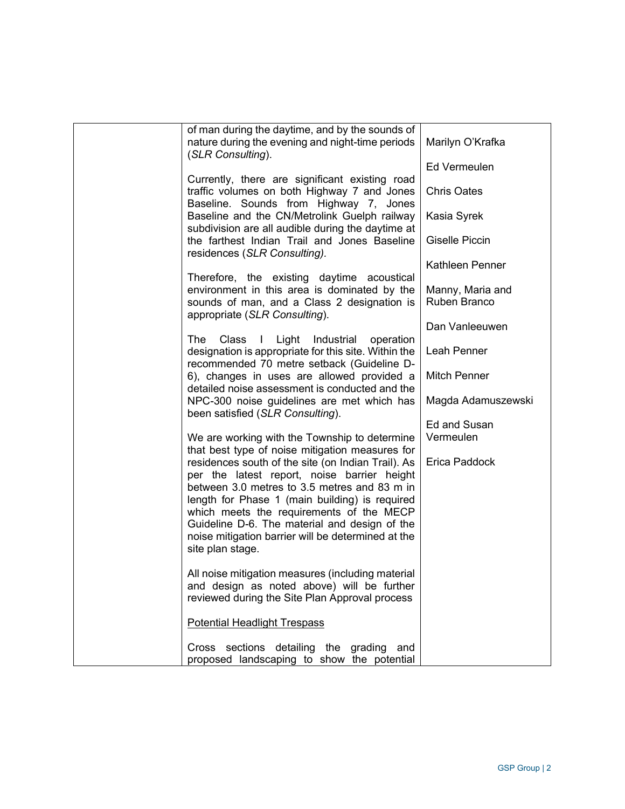| of man during the daytime, and by the sounds of<br>nature during the evening and night-time periods<br>(SLR Consulting).                                                                                                                                                                                                                                                   | Marilyn O'Krafka<br><b>Ed Vermeulen</b> |
|----------------------------------------------------------------------------------------------------------------------------------------------------------------------------------------------------------------------------------------------------------------------------------------------------------------------------------------------------------------------------|-----------------------------------------|
| Currently, there are significant existing road<br>traffic volumes on both Highway 7 and Jones<br>Baseline. Sounds from Highway 7, Jones                                                                                                                                                                                                                                    | <b>Chris Oates</b>                      |
| Baseline and the CN/Metrolink Guelph railway<br>subdivision are all audible during the daytime at                                                                                                                                                                                                                                                                          | Kasia Syrek                             |
| the farthest Indian Trail and Jones Baseline<br>residences (SLR Consulting).                                                                                                                                                                                                                                                                                               | Giselle Piccin                          |
|                                                                                                                                                                                                                                                                                                                                                                            | Kathleen Penner                         |
| Therefore, the existing daytime acoustical<br>environment in this area is dominated by the<br>sounds of man, and a Class 2 designation is<br>appropriate (SLR Consulting).                                                                                                                                                                                                 | Manny, Maria and<br>Ruben Branco        |
|                                                                                                                                                                                                                                                                                                                                                                            | Dan Vanleeuwen                          |
| The<br>Class<br>Light<br>$\mathbf{I}$<br>Industrial<br>operation<br>designation is appropriate for this site. Within the<br>recommended 70 metre setback (Guideline D-                                                                                                                                                                                                     | Leah Penner                             |
| 6), changes in uses are allowed provided a<br>detailed noise assessment is conducted and the                                                                                                                                                                                                                                                                               | <b>Mitch Penner</b>                     |
| NPC-300 noise guidelines are met which has<br>been satisfied (SLR Consulting).                                                                                                                                                                                                                                                                                             | Magda Adamuszewski                      |
|                                                                                                                                                                                                                                                                                                                                                                            | Ed and Susan                            |
| We are working with the Township to determine<br>that best type of noise mitigation measures for                                                                                                                                                                                                                                                                           | Vermeulen                               |
| residences south of the site (on Indian Trail). As<br>per the latest report, noise barrier height<br>between 3.0 metres to 3.5 metres and 83 m in<br>length for Phase 1 (main building) is required<br>which meets the requirements of the MECP<br>Guideline D-6. The material and design of the<br>noise mitigation barrier will be determined at the<br>site plan stage. | Erica Paddock                           |
| All noise mitigation measures (including material<br>and design as noted above) will be further<br>reviewed during the Site Plan Approval process                                                                                                                                                                                                                          |                                         |
| <b>Potential Headlight Trespass</b>                                                                                                                                                                                                                                                                                                                                        |                                         |
| Cross sections detailing the grading and<br>proposed landscaping to show the potential                                                                                                                                                                                                                                                                                     |                                         |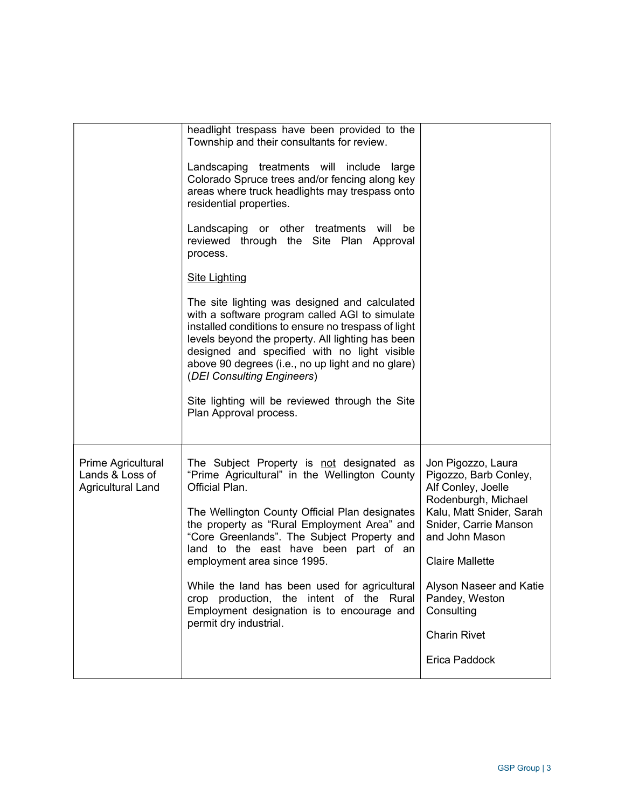|                                                                   | headlight trespass have been provided to the<br>Township and their consultants for review.<br>Landscaping treatments will include<br>large<br>Colorado Spruce trees and/or fencing along key<br>areas where truck headlights may trespass onto<br>residential properties.<br>Landscaping or other treatments will be<br>reviewed through the Site Plan Approval<br>process.<br><b>Site Lighting</b><br>The site lighting was designed and calculated<br>with a software program called AGI to simulate<br>installed conditions to ensure no trespass of light<br>levels beyond the property. All lighting has been<br>designed and specified with no light visible<br>above 90 degrees (i.e., no up light and no glare)<br>(DEI Consulting Engineers)<br>Site lighting will be reviewed through the Site<br>Plan Approval process. |                                                                                                                                                                                                                                                                                              |
|-------------------------------------------------------------------|------------------------------------------------------------------------------------------------------------------------------------------------------------------------------------------------------------------------------------------------------------------------------------------------------------------------------------------------------------------------------------------------------------------------------------------------------------------------------------------------------------------------------------------------------------------------------------------------------------------------------------------------------------------------------------------------------------------------------------------------------------------------------------------------------------------------------------|----------------------------------------------------------------------------------------------------------------------------------------------------------------------------------------------------------------------------------------------------------------------------------------------|
| Prime Agricultural<br>Lands & Loss of<br><b>Agricultural Land</b> | The Subject Property is not designated as<br>"Prime Agricultural" in the Wellington County<br>Official Plan.<br>The Wellington County Official Plan designates<br>the property as "Rural Employment Area" and<br>"Core Greenlands". The Subject Property and<br>land to the east have been part of an<br>employment area since 1995.<br>While the land has been used for agricultural<br>crop production, the intent of the Rural<br>Employment designation is to encourage and<br>permit dry industrial.                                                                                                                                                                                                                                                                                                                          | Jon Pigozzo, Laura<br>Pigozzo, Barb Conley,<br>Alf Conley, Joelle<br>Rodenburgh, Michael<br>Kalu, Matt Snider, Sarah<br>Snider, Carrie Manson<br>and John Mason<br><b>Claire Mallette</b><br>Alyson Naseer and Katie<br>Pandey, Weston<br>Consulting<br><b>Charin Rivet</b><br>Erica Paddock |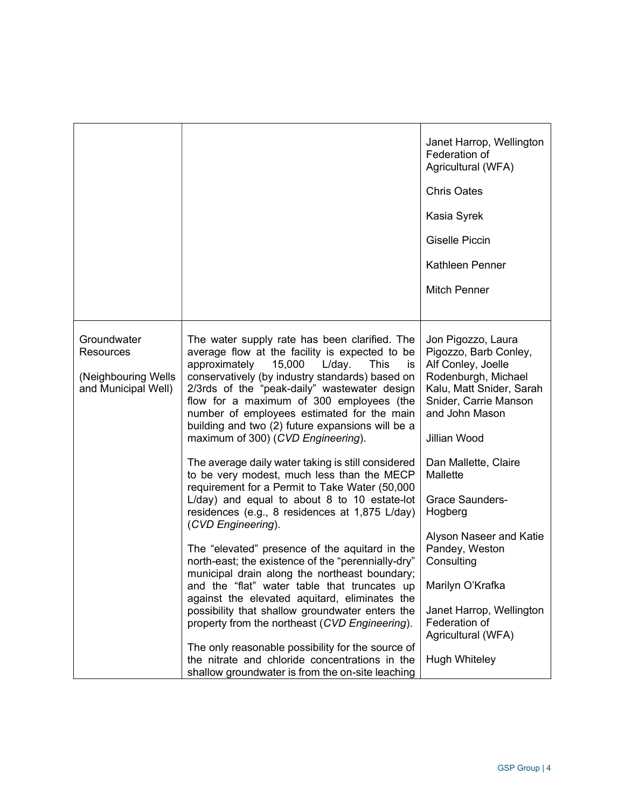|                                                                        |                                                                                                                                                                                                                                                                                                                                                                                                                                                                                                                                                                                                                                                | Janet Harrop, Wellington<br>Federation of<br>Agricultural (WFA)<br><b>Chris Oates</b><br>Kasia Syrek<br><b>Giselle Piccin</b><br>Kathleen Penner<br><b>Mitch Penner</b>                                             |
|------------------------------------------------------------------------|------------------------------------------------------------------------------------------------------------------------------------------------------------------------------------------------------------------------------------------------------------------------------------------------------------------------------------------------------------------------------------------------------------------------------------------------------------------------------------------------------------------------------------------------------------------------------------------------------------------------------------------------|---------------------------------------------------------------------------------------------------------------------------------------------------------------------------------------------------------------------|
| Groundwater<br>Resources<br>(Neighbouring Wells<br>and Municipal Well) | The water supply rate has been clarified. The<br>average flow at the facility is expected to be<br>approximately<br>15,000<br>L/day.<br><b>This</b><br>is<br>conservatively (by industry standards) based on<br>2/3rds of the "peak-daily" wastewater design<br>flow for a maximum of 300 employees (the<br>number of employees estimated for the main<br>building and two (2) future expansions will be a<br>maximum of 300) (CVD Engineering).<br>The average daily water taking is still considered<br>to be very modest, much less than the MECP<br>requirement for a Permit to Take Water (50,000                                         | Jon Pigozzo, Laura<br>Pigozzo, Barb Conley,<br>Alf Conley, Joelle<br>Rodenburgh, Michael<br>Kalu, Matt Snider, Sarah<br>Snider, Carrie Manson<br>and John Mason<br>Jillian Wood<br>Dan Mallette, Claire<br>Mallette |
|                                                                        | L/day) and equal to about 8 to 10 estate-lot<br>residences (e.g., 8 residences at 1,875 L/day)<br>(CVD Engineering).<br>The "elevated" presence of the aquitard in the<br>north-east; the existence of the "perennially-dry"<br>municipal drain along the northeast boundary;<br>and the "flat" water table that truncates up<br>against the elevated aquitard, eliminates the<br>possibility that shallow groundwater enters the<br>property from the northeast (CVD Engineering).<br>The only reasonable possibility for the source of<br>the nitrate and chloride concentrations in the<br>shallow groundwater is from the on-site leaching | <b>Grace Saunders-</b><br>Hogberg<br>Alyson Naseer and Katie<br>Pandey, Weston<br>Consulting<br>Marilyn O'Krafka<br>Janet Harrop, Wellington<br>Federation of<br>Agricultural (WFA)<br><b>Hugh Whiteley</b>         |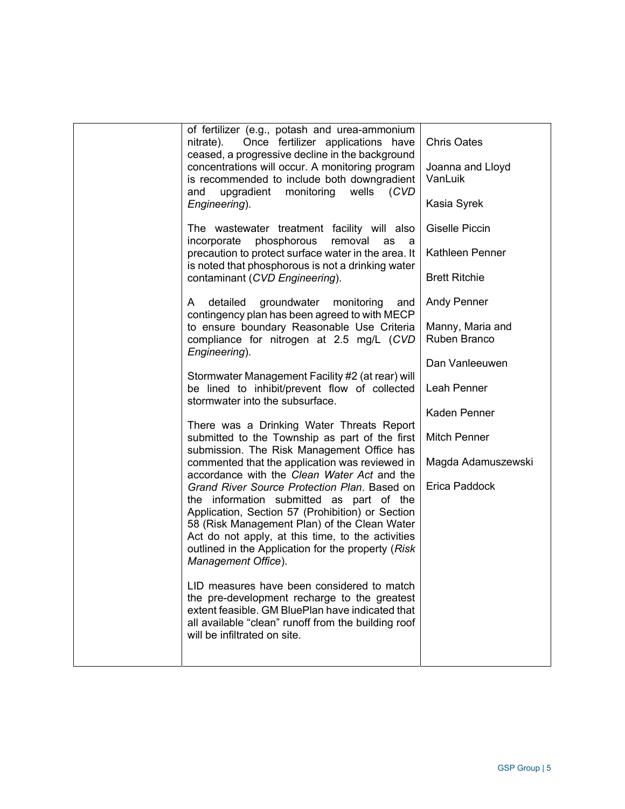| of fertilizer (e.g., potash and urea-ammonium<br>Once fertilizer applications have<br>nitrate).<br>ceased, a progressive decline in the background<br>concentrations will occur. A monitoring program<br>is recommended to include both downgradient                                                                           | <b>Chris Oates</b><br>Joanna and Lloyd<br>VanLuik |
|--------------------------------------------------------------------------------------------------------------------------------------------------------------------------------------------------------------------------------------------------------------------------------------------------------------------------------|---------------------------------------------------|
| upgradient monitoring<br>wells<br>(CVD)<br>and<br>Engineering).                                                                                                                                                                                                                                                                | Kasia Syrek                                       |
| The wastewater treatment facility will also<br>phosphorous<br>incorporate<br>removal<br>as<br>a                                                                                                                                                                                                                                | <b>Giselle Piccin</b>                             |
| precaution to protect surface water in the area. It<br>is noted that phosphorous is not a drinking water                                                                                                                                                                                                                       | Kathleen Penner                                   |
| contaminant (CVD Engineering).                                                                                                                                                                                                                                                                                                 | <b>Brett Ritchie</b>                              |
| detailed<br>groundwater<br>monitoring<br>and<br>A<br>contingency plan has been agreed to with MECP                                                                                                                                                                                                                             | <b>Andy Penner</b>                                |
| to ensure boundary Reasonable Use Criteria<br>compliance for nitrogen at 2.5 mg/L (CVD<br>Engineering).                                                                                                                                                                                                                        | Manny, Maria and<br>Ruben Branco                  |
| Stormwater Management Facility #2 (at rear) will                                                                                                                                                                                                                                                                               | Dan Vanleeuwen                                    |
| be lined to inhibit/prevent flow of collected<br>stormwater into the subsurface.                                                                                                                                                                                                                                               | Leah Penner                                       |
|                                                                                                                                                                                                                                                                                                                                | <b>Kaden Penner</b>                               |
| There was a Drinking Water Threats Report<br>submitted to the Township as part of the first<br>submission. The Risk Management Office has                                                                                                                                                                                      | <b>Mitch Penner</b>                               |
| commented that the application was reviewed in<br>accordance with the Clean Water Act and the                                                                                                                                                                                                                                  | Magda Adamuszewski                                |
| Grand River Source Protection Plan. Based on<br>the information submitted as part of the<br>Application, Section 57 (Prohibition) or Section<br>58 (Risk Management Plan) of the Clean Water<br>Act do not apply, at this time, to the activities<br>outlined in the Application for the property (Risk<br>Management Office). | Erica Paddock                                     |
| LID measures have been considered to match<br>the pre-development recharge to the greatest<br>extent feasible. GM BluePlan have indicated that<br>all available "clean" runoff from the building roof<br>will be infiltrated on site.                                                                                          |                                                   |
|                                                                                                                                                                                                                                                                                                                                |                                                   |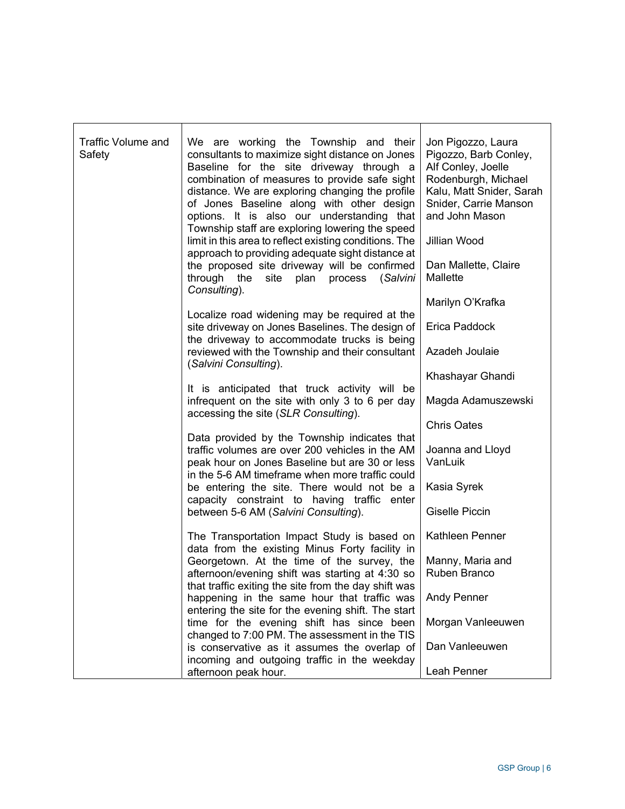| Traffic Volume and | We are working the Township and their                                                            | Jon Pigozzo, Laura                          |
|--------------------|--------------------------------------------------------------------------------------------------|---------------------------------------------|
| Safety             | consultants to maximize sight distance on Jones<br>Baseline for the site driveway through a      | Pigozzo, Barb Conley,<br>Alf Conley, Joelle |
|                    | combination of measures to provide safe sight                                                    | Rodenburgh, Michael                         |
|                    | distance. We are exploring changing the profile                                                  | Kalu, Matt Snider, Sarah                    |
|                    | of Jones Baseline along with other design                                                        | Snider, Carrie Manson                       |
|                    | options. It is also our understanding that<br>Township staff are exploring lowering the speed    | and John Mason                              |
|                    | limit in this area to reflect existing conditions. The                                           | Jillian Wood                                |
|                    | approach to providing adequate sight distance at                                                 |                                             |
|                    | the proposed site driveway will be confirmed                                                     | Dan Mallette, Claire<br>Mallette            |
|                    | through the<br>site<br>plan<br>process<br>(Salvini<br>Consulting).                               |                                             |
|                    |                                                                                                  | Marilyn O'Krafka                            |
|                    | Localize road widening may be required at the                                                    |                                             |
|                    | site driveway on Jones Baselines. The design of<br>the driveway to accommodate trucks is being   | Erica Paddock                               |
|                    | reviewed with the Township and their consultant                                                  | Azadeh Joulaie                              |
|                    | (Salvini Consulting).                                                                            |                                             |
|                    |                                                                                                  | Khashayar Ghandi                            |
|                    | It is anticipated that truck activity will be<br>infrequent on the site with only 3 to 6 per day | Magda Adamuszewski                          |
|                    | accessing the site (SLR Consulting).                                                             |                                             |
|                    |                                                                                                  | <b>Chris Oates</b>                          |
|                    | Data provided by the Township indicates that<br>traffic volumes are over 200 vehicles in the AM  |                                             |
|                    | peak hour on Jones Baseline but are 30 or less                                                   | Joanna and Lloyd<br>VanLuik                 |
|                    | in the 5-6 AM timeframe when more traffic could                                                  |                                             |
|                    | be entering the site. There would not be a                                                       | Kasia Syrek                                 |
|                    | capacity constraint to having traffic enter<br>between 5-6 AM (Salvini Consulting).              | <b>Giselle Piccin</b>                       |
|                    |                                                                                                  |                                             |
|                    | The Transportation Impact Study is based on                                                      | Kathleen Penner                             |
|                    | data from the existing Minus Forty facility in                                                   |                                             |
|                    | Georgetown. At the time of the survey, the<br>afternoon/evening shift was starting at 4:30 so    | Manny, Maria and<br>Ruben Branco            |
|                    | that traffic exiting the site from the day shift was                                             |                                             |
|                    | happening in the same hour that traffic was                                                      | <b>Andy Penner</b>                          |
|                    | entering the site for the evening shift. The start                                               |                                             |
|                    | time for the evening shift has since been<br>changed to 7:00 PM. The assessment in the TIS       | Morgan Vanleeuwen                           |
|                    | is conservative as it assumes the overlap of                                                     | Dan Vanleeuwen                              |
|                    | incoming and outgoing traffic in the weekday                                                     |                                             |
|                    | afternoon peak hour.                                                                             | Leah Penner                                 |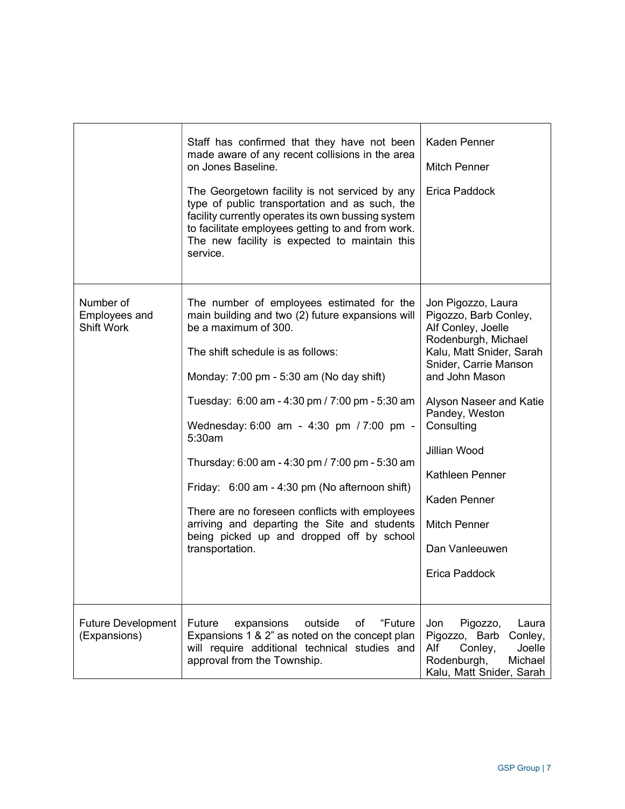|                                                        | Staff has confirmed that they have not been<br>made aware of any recent collisions in the area<br>on Jones Baseline.<br>The Georgetown facility is not serviced by any<br>type of public transportation and as such, the<br>facility currently operates its own bussing system<br>to facilitate employees getting to and from work.<br>The new facility is expected to maintain this<br>service.                                                                                                                                                                                      | <b>Kaden Penner</b><br><b>Mitch Penner</b><br>Erica Paddock                                                                                                                                                                                                                                                                             |
|--------------------------------------------------------|---------------------------------------------------------------------------------------------------------------------------------------------------------------------------------------------------------------------------------------------------------------------------------------------------------------------------------------------------------------------------------------------------------------------------------------------------------------------------------------------------------------------------------------------------------------------------------------|-----------------------------------------------------------------------------------------------------------------------------------------------------------------------------------------------------------------------------------------------------------------------------------------------------------------------------------------|
| Number of<br><b>Employees and</b><br><b>Shift Work</b> | The number of employees estimated for the<br>main building and two (2) future expansions will<br>be a maximum of 300.<br>The shift schedule is as follows:<br>Monday: 7:00 pm - 5:30 am (No day shift)<br>Tuesday: 6:00 am - 4:30 pm / 7:00 pm - 5:30 am<br>Wednesday: 6:00 am - 4:30 pm / 7:00 pm -<br>5:30am<br>Thursday: 6:00 am - 4:30 pm / 7:00 pm - 5:30 am<br>Friday: 6:00 am - 4:30 pm (No afternoon shift)<br>There are no foreseen conflicts with employees<br>arriving and departing the Site and students<br>being picked up and dropped off by school<br>transportation. | Jon Pigozzo, Laura<br>Pigozzo, Barb Conley,<br>Alf Conley, Joelle<br>Rodenburgh, Michael<br>Kalu, Matt Snider, Sarah<br>Snider, Carrie Manson<br>and John Mason<br>Alyson Naseer and Katie<br>Pandey, Weston<br>Consulting<br>Jillian Wood<br>Kathleen Penner<br>Kaden Penner<br><b>Mitch Penner</b><br>Dan Vanleeuwen<br>Erica Paddock |
| <b>Future Development</b><br>(Expansions)              | <b>Future</b><br>outside<br>"Future<br>expansions<br>οf<br>Expansions 1 & 2" as noted on the concept plan<br>will require additional technical studies and<br>approval from the Township.                                                                                                                                                                                                                                                                                                                                                                                             | Jon<br>Pigozzo,<br>Laura<br>Pigozzo, Barb<br>Conley,<br>Alf<br>Conley,<br>Joelle<br>Michael<br>Rodenburgh,<br>Kalu, Matt Snider, Sarah                                                                                                                                                                                                  |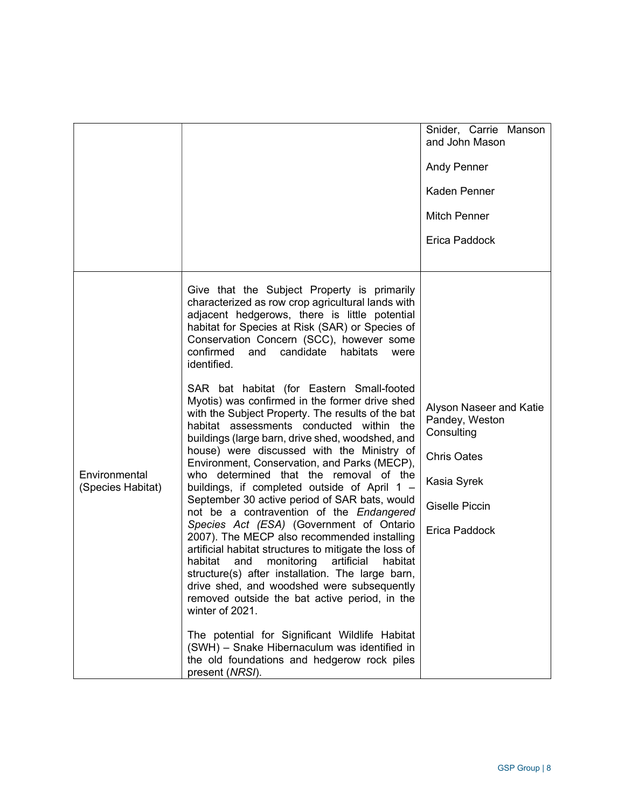|                                    |                                                                                                                                                                                                                                                                                                                                                                                                                                                                                                                                                                                                                                                                                                                                                                                                                                                                                                                                                                                                                                                                                                                                                                                                                                                                                                                                                                                                                      | Snider, Carrie Manson<br>and John Mason<br><b>Andy Penner</b><br>Kaden Penner<br><b>Mitch Penner</b><br>Erica Paddock                  |
|------------------------------------|----------------------------------------------------------------------------------------------------------------------------------------------------------------------------------------------------------------------------------------------------------------------------------------------------------------------------------------------------------------------------------------------------------------------------------------------------------------------------------------------------------------------------------------------------------------------------------------------------------------------------------------------------------------------------------------------------------------------------------------------------------------------------------------------------------------------------------------------------------------------------------------------------------------------------------------------------------------------------------------------------------------------------------------------------------------------------------------------------------------------------------------------------------------------------------------------------------------------------------------------------------------------------------------------------------------------------------------------------------------------------------------------------------------------|----------------------------------------------------------------------------------------------------------------------------------------|
| Environmental<br>(Species Habitat) | Give that the Subject Property is primarily<br>characterized as row crop agricultural lands with<br>adjacent hedgerows, there is little potential<br>habitat for Species at Risk (SAR) or Species of<br>Conservation Concern (SCC), however some<br>confirmed<br>and<br>candidate<br>habitats<br>were<br>identified.<br>SAR bat habitat (for Eastern Small-footed<br>Myotis) was confirmed in the former drive shed<br>with the Subject Property. The results of the bat<br>habitat assessments conducted within the<br>buildings (large barn, drive shed, woodshed, and<br>house) were discussed with the Ministry of<br>Environment, Conservation, and Parks (MECP),<br>who determined that the removal of the<br>buildings, if completed outside of April 1 -<br>September 30 active period of SAR bats, would<br>not be a contravention of the Endangered<br>Species Act (ESA) (Government of Ontario<br>2007). The MECP also recommended installing<br>artificial habitat structures to mitigate the loss of<br>habitat<br>artificial<br>and<br>monitoring<br>habitat<br>structure(s) after installation. The large barn,<br>drive shed, and woodshed were subsequently<br>removed outside the bat active period, in the<br>winter of 2021.<br>The potential for Significant Wildlife Habitat<br>(SWH) - Snake Hibernaculum was identified in<br>the old foundations and hedgerow rock piles<br>present (NRSI). | Alyson Naseer and Katie<br>Pandey, Weston<br>Consulting<br><b>Chris Oates</b><br>Kasia Syrek<br><b>Giselle Piccin</b><br>Erica Paddock |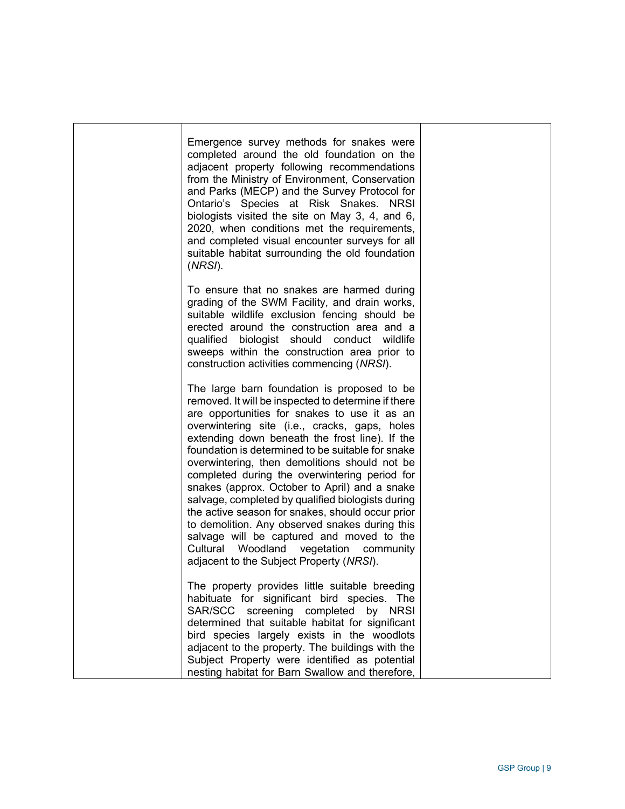| Emergence survey methods for snakes were<br>completed around the old foundation on the<br>adjacent property following recommendations<br>from the Ministry of Environment, Conservation<br>and Parks (MECP) and the Survey Protocol for<br>Ontario's Species at Risk Snakes. NRSI<br>biologists visited the site on May 3, 4, and 6,<br>2020, when conditions met the requirements,<br>and completed visual encounter surveys for all<br>suitable habitat surrounding the old foundation<br>(NRSI).                                                                                                                                                                                                                                                               |  |
|-------------------------------------------------------------------------------------------------------------------------------------------------------------------------------------------------------------------------------------------------------------------------------------------------------------------------------------------------------------------------------------------------------------------------------------------------------------------------------------------------------------------------------------------------------------------------------------------------------------------------------------------------------------------------------------------------------------------------------------------------------------------|--|
| To ensure that no snakes are harmed during<br>grading of the SWM Facility, and drain works,<br>suitable wildlife exclusion fencing should be<br>erected around the construction area and a<br>qualified biologist should conduct wildlife<br>sweeps within the construction area prior to<br>construction activities commencing (NRSI).                                                                                                                                                                                                                                                                                                                                                                                                                           |  |
| The large barn foundation is proposed to be<br>removed. It will be inspected to determine if there<br>are opportunities for snakes to use it as an<br>overwintering site (i.e., cracks, gaps, holes<br>extending down beneath the frost line). If the<br>foundation is determined to be suitable for snake<br>overwintering, then demolitions should not be<br>completed during the overwintering period for<br>snakes (approx. October to April) and a snake<br>salvage, completed by qualified biologists during<br>the active season for snakes, should occur prior<br>to demolition. Any observed snakes during this<br>salvage will be captured and moved to the<br>Cultural Woodland<br>vegetation<br>community<br>adjacent to the Subject Property (NRSI). |  |
| The property provides little suitable breeding<br>habituate for significant bird species. The<br>SAR/SCC screening completed<br>by NRSI<br>determined that suitable habitat for significant<br>bird species largely exists in the woodlots<br>adjacent to the property. The buildings with the<br>Subject Property were identified as potential<br>nesting habitat for Barn Swallow and therefore,                                                                                                                                                                                                                                                                                                                                                                |  |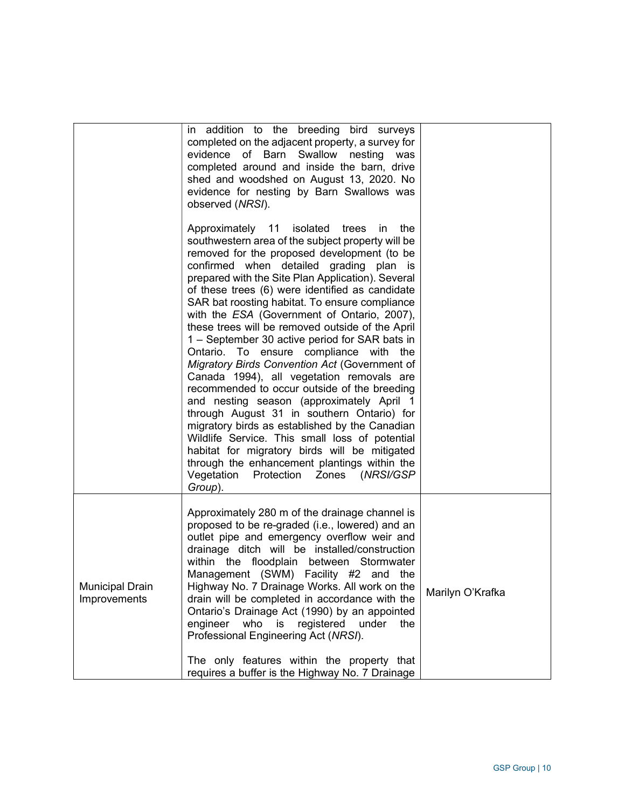|                                        | in addition to the breeding bird surveys<br>completed on the adjacent property, a survey for<br>evidence of Barn Swallow nesting<br>was<br>completed around and inside the barn, drive<br>shed and woodshed on August 13, 2020. No<br>evidence for nesting by Barn Swallows was<br>observed (NRSI).                                                                                                                                                                                                                                                                                                                                                                                                                                                                                                                                                                                                                                                                                                                                                 |                  |
|----------------------------------------|-----------------------------------------------------------------------------------------------------------------------------------------------------------------------------------------------------------------------------------------------------------------------------------------------------------------------------------------------------------------------------------------------------------------------------------------------------------------------------------------------------------------------------------------------------------------------------------------------------------------------------------------------------------------------------------------------------------------------------------------------------------------------------------------------------------------------------------------------------------------------------------------------------------------------------------------------------------------------------------------------------------------------------------------------------|------------------|
|                                        | Approximately 11 isolated trees in<br>the<br>southwestern area of the subject property will be<br>removed for the proposed development (to be<br>confirmed when detailed grading plan is<br>prepared with the Site Plan Application). Several<br>of these trees (6) were identified as candidate<br>SAR bat roosting habitat. To ensure compliance<br>with the ESA (Government of Ontario, 2007),<br>these trees will be removed outside of the April<br>1 – September 30 active period for SAR bats in<br>Ontario. To ensure compliance with the<br>Migratory Birds Convention Act (Government of<br>Canada 1994), all vegetation removals are<br>recommended to occur outside of the breeding<br>and nesting season (approximately April 1<br>through August 31 in southern Ontario) for<br>migratory birds as established by the Canadian<br>Wildlife Service. This small loss of potential<br>habitat for migratory birds will be mitigated<br>through the enhancement plantings within the<br>Vegetation Protection Zones (NRSI/GSP<br>Group). |                  |
| <b>Municipal Drain</b><br>Improvements | Approximately 280 m of the drainage channel is<br>proposed to be re-graded (i.e., lowered) and an<br>outlet pipe and emergency overflow weir and<br>drainage ditch will be installed/construction<br>within the floodplain between Stormwater<br>Management (SWM) Facility #2 and the<br>Highway No. 7 Drainage Works. All work on the<br>drain will be completed in accordance with the<br>Ontario's Drainage Act (1990) by an appointed<br>engineer<br>who<br>registered<br>under<br>is<br>the<br>Professional Engineering Act (NRSI).<br>The only features within the property that<br>requires a buffer is the Highway No. 7 Drainage                                                                                                                                                                                                                                                                                                                                                                                                           | Marilyn O'Krafka |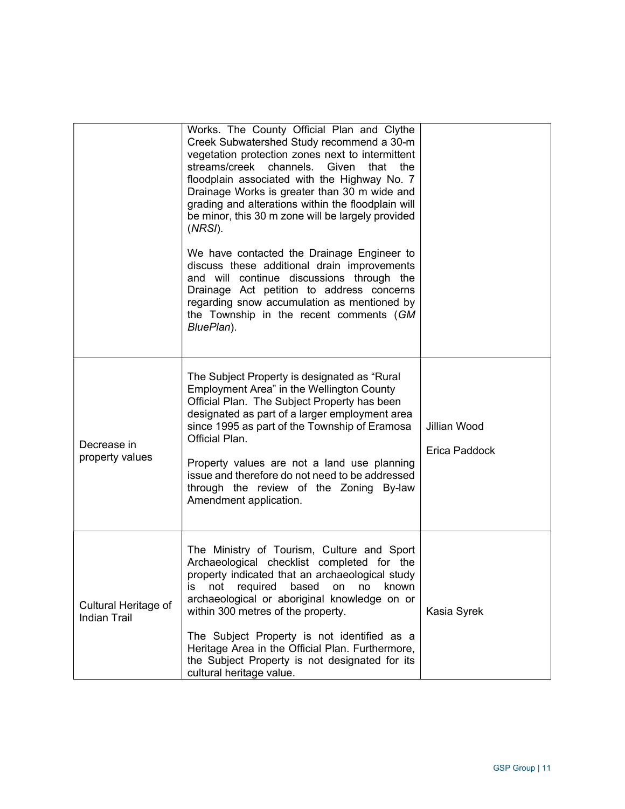|                                             | Works. The County Official Plan and Clythe<br>Creek Subwatershed Study recommend a 30-m<br>vegetation protection zones next to intermittent<br>streams/creek channels. Given<br>that<br>the<br>floodplain associated with the Highway No. 7<br>Drainage Works is greater than 30 m wide and<br>grading and alterations within the floodplain will<br>be minor, this 30 m zone will be largely provided<br>(NRSI).<br>We have contacted the Drainage Engineer to<br>discuss these additional drain improvements<br>and will continue discussions through the<br>Drainage Act petition to address concerns<br>regarding snow accumulation as mentioned by<br>the Township in the recent comments (GM<br>BluePlan). |                               |
|---------------------------------------------|------------------------------------------------------------------------------------------------------------------------------------------------------------------------------------------------------------------------------------------------------------------------------------------------------------------------------------------------------------------------------------------------------------------------------------------------------------------------------------------------------------------------------------------------------------------------------------------------------------------------------------------------------------------------------------------------------------------|-------------------------------|
| Decrease in<br>property values              | The Subject Property is designated as "Rural<br>Employment Area" in the Wellington County<br>Official Plan. The Subject Property has been<br>designated as part of a larger employment area<br>since 1995 as part of the Township of Eramosa<br>Official Plan.<br>Property values are not a land use planning<br>issue and therefore do not need to be addressed<br>through the review of the Zoning By-law<br>Amendment application.                                                                                                                                                                                                                                                                            | Jillian Wood<br>Erica Paddock |
| Cultural Heritage of<br><b>Indian Trail</b> | The Ministry of Tourism, Culture and Sport<br>Archaeological checklist completed for the<br>property indicated that an archaeological study<br>required<br>not<br>based<br>İS.<br>on<br>no<br>known<br>archaeological or aboriginal knowledge on or<br>within 300 metres of the property.<br>The Subject Property is not identified as a<br>Heritage Area in the Official Plan. Furthermore,<br>the Subject Property is not designated for its<br>cultural heritage value.                                                                                                                                                                                                                                       | Kasia Syrek                   |